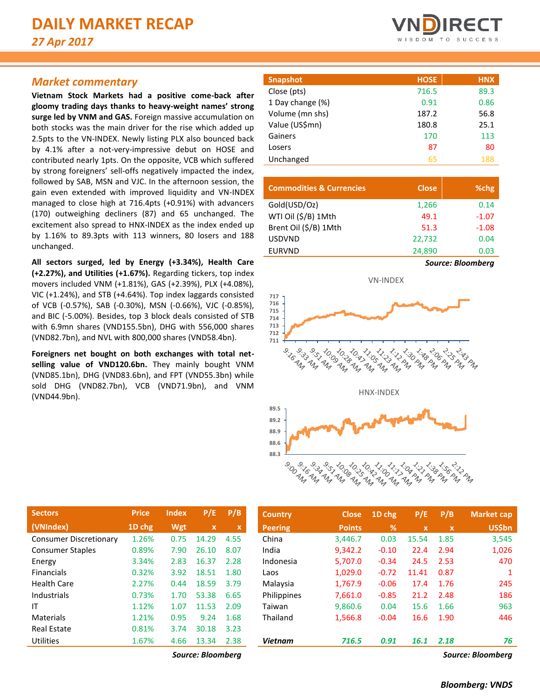# *Market commentary*

**Vietnam Stock Markets had a positive come-back after gloomy trading days thanks to heavy-weight names' strong surge led by VNM and GAS.** Foreign massive accumulation on both stocks was the main driver for the rise which added up 2.5pts to the VN-INDEX. Newly listing PLX also bounced back by 4.1% after a not-very-impressive debut on HOSE and contributed nearly 1pts. On the opposite, VCB which suffered by strong foreigners' sell-offs negatively impacted the index, followed by SAB, MSN and VJC. In the afternoon session, the gain even extended with improved liquidity and VN-INDEX managed to close high at 716.4pts (+0.91%) with advancers (170) outweighing decliners (87) and 65 unchanged. The excitement also spread to HNX-INDEX as the index ended up by 1.16% to 89.3pts with 113 winners, 80 losers and 188 unchanged.

**All sectors surged, led by Energy (+3.34%), Health Care (+2.27%), and Utilities (+1.67%).** Regarding tickers, top index movers included VNM (+1.81%), GAS (+2.39%), PLX (+4.08%), VIC (+1.24%), and STB (+4.64%). Top index laggards consisted of VCB (-0.57%), SAB (-0.30%), MSN (-0.66%), VJC (-0.85%), and BIC (-5.00%). Besides, top 3 block deals consisted of STB with 6.9mn shares (VND155.5bn), DHG with 556,000 shares (VND82.7bn), and NVL with 800,000 shares (VND58.4bn).

**Foreigners net bought on both exchanges with total net**selling value of VND120.6bn. They mainly bought VNM (VND85.1bn), DHG (VND83.6bn), and FPT (VND55.3bn) while sold DHG (VND82.7bn), VCB (VND71.9bn), and VNM (VND44.9bn).

| <b>Snapshot</b>  | <b>HOSE</b> | <b>HNX</b> |
|------------------|-------------|------------|
| Close (pts)      | 716.5       | 89.3       |
| 1 Day change (%) | 0.91        | 0.86       |
| Volume (mn shs)  | 187.2       | 56.8       |
| Value (US\$mn)   | 180.8       | 25.1       |
| Gainers          | 170         | 113        |
| Losers           | 87          | 80         |
| Unchanged        | 65          | 188        |

| <b>Commodities &amp; Currencies</b> | <b>Close</b> | %chg                     |
|-------------------------------------|--------------|--------------------------|
| Gold(USD/Oz)                        | 1,266        | 0.14                     |
| WTI Oil (\$/B) 1Mth                 | 49.1         | $-1.07$                  |
| Brent Oil (\$/B) 1Mth               | 51.3         | $-1.08$                  |
| <b>USDVND</b>                       | 22,732       | 0.04                     |
| <b>EURVND</b>                       | 24,890       | 0.03                     |
|                                     |              | <b>Source: Bloomberg</b> |



| <b>Sectors</b>                | <b>Price</b> | <b>Index</b> | P/E                       | P/B         |
|-------------------------------|--------------|--------------|---------------------------|-------------|
| (VNIndex)                     | 1D chg       | Wgt          | $\boldsymbol{\mathsf{x}}$ | $\mathbf x$ |
| <b>Consumer Discretionary</b> | 1.26%        | 0.75         | 14.29                     | 4.55        |
| <b>Consumer Staples</b>       | 0.89%        | 7.90         | 26.10                     | 8.07        |
| Energy                        | 3.34%        | 2.83         | 16.37                     | 2.28        |
| <b>Financials</b>             | 0.32%        | 3.92         | 18.51                     | 1.80        |
| Health Care                   | 2.27%        | 0.44         | 18.59                     | 3.79        |
| Industrials                   | 0.73%        | 1.70         | 53.38                     | 6.65        |
| ΙT                            | 1.12%        | 1.07         | 11.53                     | 2.09        |
| Materials                     | 1.21%        | 0.95         | 9.24                      | 1.68        |
| Real Estate                   | 0.81%        | 3.74         | 30.18                     | 3.23        |
| <b>Utilities</b>              | 1.67%        | 4.66         | 13.34                     | 2.38        |
|                               |              |              |                           |             |

| <b>Sectors</b>                | <b>Price</b> | <b>Index</b> | P/E               | P/B         | <b>Country</b> | <b>Close</b>  | $\overline{1}D$ chg | P/E          | P/B          | <b>Market cap</b> |
|-------------------------------|--------------|--------------|-------------------|-------------|----------------|---------------|---------------------|--------------|--------------|-------------------|
| (VNIndex)                     | 1D chg       | Wgt          | $\mathbf{x}$      | $\mathbf x$ | <b>Peering</b> | <b>Points</b> | %                   | $\mathbf{x}$ | $\mathbf{x}$ | <b>US\$bn</b>     |
| <b>Consumer Discretionary</b> | 1.26%        | 0.75         | 14.29             | 4.55        | China          | 3,446.7       | 0.03                | 15.54        | 1.85         | 3,545             |
| <b>Consumer Staples</b>       | 0.89%        | 7.90         | 26.10             | 8.07        | India          | 9,342.2       | $-0.10$             | 22.4         | 2.94         | 1,026             |
| Energy                        | 3.34%        | 2.83         | 16.37             | 2.28        | Indonesia      | 5,707.0       | $-0.34$             | 24.5         | 2.53         | 470               |
| <b>Financials</b>             | 0.32%        | 3.92         | 18.51             | 1.80        | Laos           | 1,029.0       | $-0.72$             | 11.41        | 0.87         | 1                 |
| Health Care                   | 2.27%        | 0.44         | 18.59             | 3.79        | Malaysia       | 1,767.9       | $-0.06$             | 17.4         | 1.76         | 245               |
| Industrials                   | 0.73%        | 1.70         | 53.38             | 6.65        | Philippines    | 7,661.0       | $-0.85$             | 21.2         | 2.48         | 186               |
| ΙT                            | 1.12%        | 1.07         | 11.53             | 2.09        | Taiwan         | 9,860.6       | 0.04                | 15.6         | 1.66         | 963               |
| Materials                     | 1.21%        | 0.95         | 9.24              | 1.68        | Thailand       | 1,566.8       | $-0.04$             | 16.6         | 1.90         | 446               |
| <b>Real Estate</b>            | 0.81%        | 3.74         | 30.18             | 3.23        |                |               |                     |              |              |                   |
| Utilities                     | 1.67%        | 4.66         | 13.34             | 2.38        | <b>Vietnam</b> | 716.5         | 0.91                | 16.1         | 2.18         | 76                |
|                               |              |              | Source: Bloombera |             |                |               |                     |              |              | Source: Bloombera |

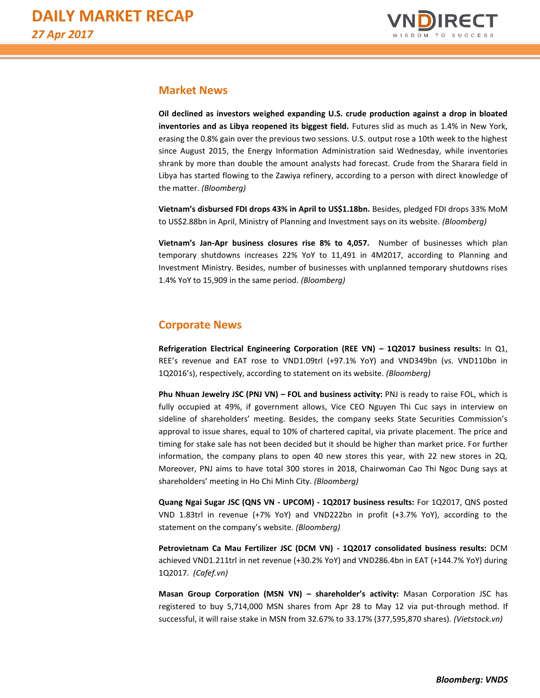

# **Market News**

**Oil declined as investors weighed expanding U.S. crude production against a drop in bloated inventories and as Libya reopened its biggest field.** Futures slid as much as 1.4% in New York, erasing the 0.8% gain over the previous two sessions. U.S. output rose a 10th week to the highest since August 2015, the Energy Information Administration said Wednesday, while inventories shrank by more than double the amount analysts had forecast. Crude from the Sharara field in Libya has started flowing to the Zawiya refinery, according to a person with direct knowledge of the matter. *(Bloomberg)*

**Vietnam's disbursed FDI drops 43% in April to US\$1.18bn.** Besides, pledged FDI drops 33% MoM to US\$2.88bn in April, Ministry of Planning and Investment says on its website. *(Bloomberg)*

**Vietnam's Jan-Apr business closures rise 8% to 4,057.** Number of businesses which plan temporary shutdowns increases 22% YoY to 11,491 in 4M2017, according to Planning and Investment Ministry. Besides, number of businesses with unplanned temporary shutdowns rises 1.4% YoY to 15,909 in the same period. *(Bloomberg)*

# **Corporate News**

**Refrigeration Electrical Engineering Corporation (REE VN) – 1Q2017 business results:** In Q1, REE's revenue and EAT rose to VND1.09trl (+97.1% YoY) and VND349bn (vs. VND110bn in 1Q2016's), respectively, according to statement on its website. *(Bloomberg)*

**Phu Nhuan Jewelry JSC (PNJ VN) – FOL and business activity:** PNJ is ready to raise FOL, which is fully occupied at 49%, if government allows, Vice CEO Nguyen Thi Cuc says in interview on sideline of shareholders' meeting. Besides, the company seeks State Securities Commission's approval to issue shares, equal to 10% of chartered capital, via private placement. The price and timing for stake sale has not been decided but it should be higher than market price. For further information, the company plans to open 40 new stores this year, with 22 new stores in 2Q. Moreover, PNJ aims to have total 300 stores in 2018, Chairwoman Cao Thi Ngoc Dung says at shareholders' meeting in Ho Chi Minh City. *(Bloomberg)*

**Quang Ngai Sugar JSC (QNS VN - UPCOM) - 1Q2017 business results:** For 1Q2017, QNS posted VND 1.83trl in revenue (+7% YoY) and VND222bn in profit (+3.7% YoY), according to the statement on the company's website. *(Bloomberg)*

**Petrovietnam Ca Mau Fertilizer JSC (DCM VN) - 1Q2017 consolidated business results:** DCM achieved VND1.211trl in net revenue (+30.2% YoY) and VND286.4bn in EAT (+144.7% YoY) during 1Q2017. *(Cafef.vn)*

**Masan Group Corporation (MSN VN) – shareholder's activity:** Masan Corporation JSC has registered to buy 5,714,000 MSN shares from Apr 28 to May 12 via put-through method. If successful, it will raise stake in MSN from 32.67% to 33.17% (377,595,870 shares). *(Vietstock.vn)*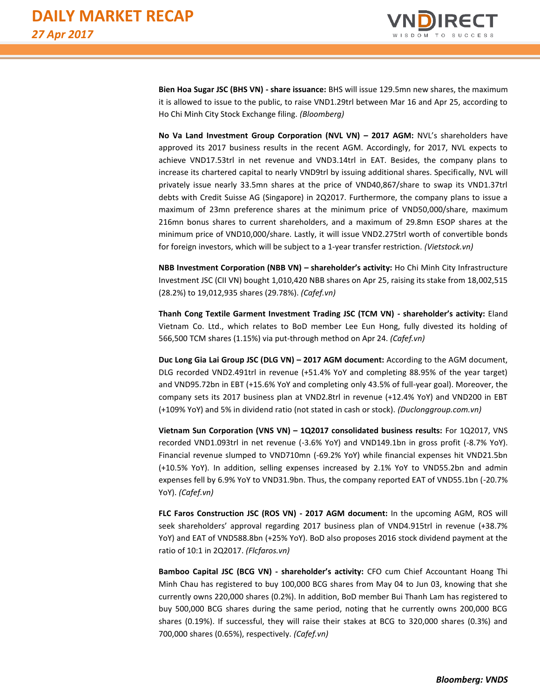

**Bien Hoa Sugar JSC (BHS VN) - share issuance:** BHS will issue 129.5mn new shares, the maximum it is allowed to issue to the public, to raise VND1.29trl between Mar 16 and Apr 25, according to Ho Chi Minh City Stock Exchange filing. *(Bloomberg)*

**No Va Land Investment Group Corporation (NVL VN) – 2017 AGM:** NVL's shareholders have approved its 2017 business results in the recent AGM. Accordingly, for 2017, NVL expects to achieve VND17.53trl in net revenue and VND3.14trl in EAT. Besides, the company plans to increase its chartered capital to nearly VND9trl by issuing additional shares. Specifically, NVL will privately issue nearly 33.5mn shares at the price of VND40,867/share to swap its VND1.37trl debts with Credit Suisse AG (Singapore) in 2Q2017. Furthermore, the company plans to issue a maximum of 23mn preference shares at the minimum price of VND50,000/share, maximum 216mn bonus shares to current shareholders, and a maximum of 29.8mn ESOP shares at the minimum price of VND10,000/share. Lastly, it will issue VND2.275trl worth of convertible bonds for foreign investors, which will be subject to a 1-year transfer restriction. *(Vietstock.vn)*

**NBB Investment Corporation (NBB VN) – shareholder's activity:** Ho Chi Minh City Infrastructure Investment JSC (CII VN) bought 1,010,420 NBB shares on Apr 25, raising its stake from 18,002,515 (28.2%) to 19,012,935 shares (29.78%). *(Cafef.vn)*

**Thanh Cong Textile Garment Investment Trading JSC (TCM VN) - shareholder's activity:** Eland Vietnam Co. Ltd., which relates to BoD member Lee Eun Hong, fully divested its holding of 566,500 TCM shares (1.15%) via put-through method on Apr 24. *(Cafef.vn)*

**Duc Long Gia Lai Group JSC (DLG VN) – 2017 AGM document:** According to the AGM document, DLG recorded VND2.491trl in revenue (+51.4% YoY and completing 88.95% of the year target) and VND95.72bn in EBT (+15.6% YoY and completing only 43.5% of full-year goal). Moreover, the company sets its 2017 business plan at VND2.8trl in revenue (+12.4% YoY) and VND200 in EBT (+109% YoY) and 5% in dividend ratio (not stated in cash or stock). *(Duclonggroup.com.vn)*

**Vietnam Sun Corporation (VNS VN) – 1Q2017 consolidated business results:** For 1Q2017, VNS recorded VND1.093trl in net revenue (-3.6% YoY) and VND149.1bn in gross profit (-8.7% YoY). Financial revenue slumped to VND710mn (-69.2% YoY) while financial expenses hit VND21.5bn (+10.5% YoY). In addition, selling expenses increased by 2.1% YoY to VND55.2bn and admin expenses fell by 6.9% YoY to VND31.9bn. Thus, the company reported EAT of VND55.1bn (-20.7% YoY). *(Cafef.vn)*

**FLC Faros Construction JSC (ROS VN) - 2017 AGM document:** In the upcoming AGM, ROS will seek shareholders' approval regarding 2017 business plan of VND4.915trl in revenue (+38.7% YoY) and EAT of VND588.8bn (+25% YoY). BoD also proposes 2016 stock dividend payment at the ratio of 10:1 in 2Q2017. *(Flcfaros.vn)*

**Bamboo Capital JSC (BCG VN) - shareholder's activity:** CFO cum Chief Accountant Hoang Thi Minh Chau has registered to buy 100,000 BCG shares from May 04 to Jun 03, knowing that she currently owns 220,000 shares (0.2%). In addition, BoD member Bui Thanh Lam has registered to buy 500,000 BCG shares during the same period, noting that he currently owns 200,000 BCG shares (0.19%). If successful, they will raise their stakes at BCG to 320,000 shares (0.3%) and 700,000 shares (0.65%), respectively. *(Cafef.vn)*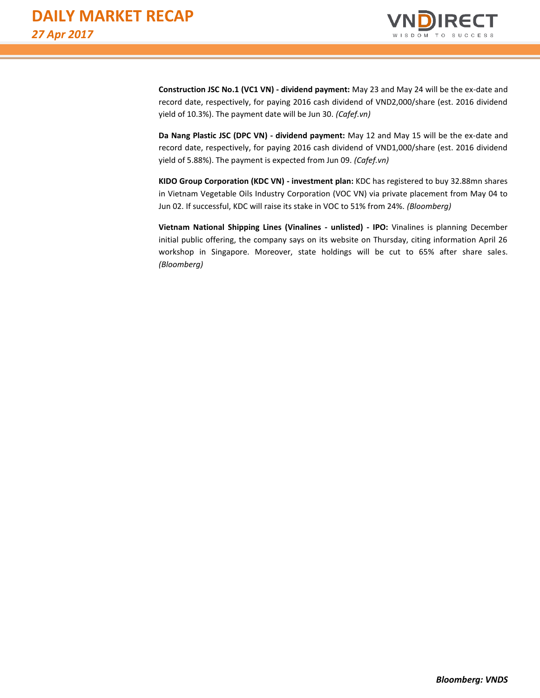

**Construction JSC No.1 (VC1 VN) - dividend payment:** May 23 and May 24 will be the ex-date and record date, respectively, for paying 2016 cash dividend of VND2,000/share (est. 2016 dividend yield of 10.3%). The payment date will be Jun 30. *(Cafef.vn)*

**Da Nang Plastic JSC (DPC VN) - dividend payment:** May 12 and May 15 will be the ex-date and record date, respectively, for paying 2016 cash dividend of VND1,000/share (est. 2016 dividend yield of 5.88%). The payment is expected from Jun 09. *(Cafef.vn)*

**KIDO Group Corporation (KDC VN) - investment plan:** KDC has registered to buy 32.88mn shares in Vietnam Vegetable Oils Industry Corporation (VOC VN) via private placement from May 04 to Jun 02. If successful, KDC will raise its stake in VOC to 51% from 24%. *(Bloomberg)*

**Vietnam National Shipping Lines (Vinalines - unlisted) - IPO:** Vinalines is planning December initial public offering, the company says on its website on Thursday, citing information April 26 workshop in Singapore. Moreover, state holdings will be cut to 65% after share sales. *(Bloomberg)*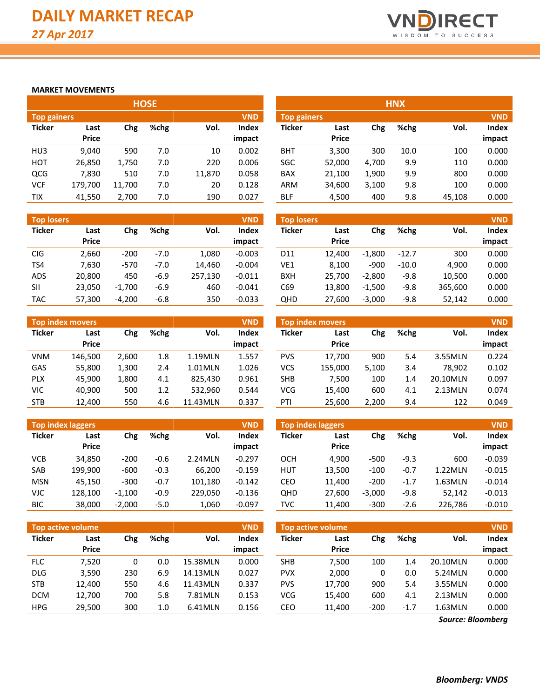

### **MARKET MOVEMENTS**

|                    |              |        | <b>HOSE</b> |        |            |                    |              |       | <b>HNX</b> |        |            |
|--------------------|--------------|--------|-------------|--------|------------|--------------------|--------------|-------|------------|--------|------------|
| <b>Top gainers</b> |              |        |             |        | <b>VND</b> | <b>Top gainers</b> |              |       |            |        | <b>VND</b> |
| <b>Ticker</b>      | Last         | Chg    | %chg        | Vol.   | Index      | Ticker             | Last         | Chg   | %chg       | Vol.   | Index      |
|                    | <b>Price</b> |        |             |        | impact     |                    | <b>Price</b> |       |            |        | impact     |
| HU <sub>3</sub>    | 9.040        | 590    | 7.0         | 10     | 0.002      | <b>BHT</b>         | 3,300        | 300   | 10.0       | 100    | 0.000      |
| <b>HOT</b>         | 26,850       | 1,750  | 7.0         | 220    | 0.006      | SGC                | 52,000       | 4,700 | 9.9        | 110    | 0.000      |
| QCG                | 7.830        | 510    | 7.0         | 11,870 | 0.058      | <b>BAX</b>         | 21,100       | 1,900 | 9.9        | 800    | 0.000      |
| <b>VCF</b>         | 179,700      | 11,700 | 7.0         | 20     | 0.128      | <b>ARM</b>         | 34,600       | 3,100 | 9.8        | 100    | 0.000      |
| <b>TIX</b>         | 41.550       | 2,700  | 7.0         | 190    | 0.027      | <b>BLF</b>         | 4,500        | 400   | 9.8        | 45.108 | 0.000      |

| <b>Top losers</b> |              |          |        |         | <b>VND</b>   | <b>Top losers</b> |              |          |         |         | <b>VND</b> |
|-------------------|--------------|----------|--------|---------|--------------|-------------------|--------------|----------|---------|---------|------------|
| <b>Ticker</b>     | Last         | Chg      | %chg   | Vol.    | <b>Index</b> | <b>Ticker</b>     | Last         | Chg      | %chg    | Vol.    | Index      |
|                   | <b>Price</b> |          |        |         | impact       |                   | <b>Price</b> |          |         |         | impact     |
| <b>CIG</b>        | 2.660        | $-200$   | $-7.0$ | 1.080   | $-0.003$     | D <sub>11</sub>   | 12.400       | $-1,800$ | $-12.7$ | 300     | 0.000      |
| TS4               | 7,630        | $-570$   | $-7.0$ | 14.460  | $-0.004$     | VE1               | 8.100        | $-900$   | $-10.0$ | 4.900   | 0.000      |
| <b>ADS</b>        | 20.800       | 450      | $-6.9$ | 257.130 | $-0.011$     | BXH               | 25.700       | $-2.800$ | $-9.8$  | 10.500  | 0.000      |
| <b>SII</b>        | 23,050       | $-1,700$ | $-6.9$ | 460     | $-0.041$     | C69               | 13,800       | $-1,500$ | $-9.8$  | 365,600 | 0.000      |
| <b>TAC</b>        | 57.300       | $-4.200$ | $-6.8$ | 350     | $-0.033$     | QHD               | 27.600       | $-3,000$ | $-9.8$  | 52,142  | 0.000      |

|               | Top index movers |       |      |          | <b>VND</b>   |               | Top index movers |            |      |          | <b>VND</b> |
|---------------|------------------|-------|------|----------|--------------|---------------|------------------|------------|------|----------|------------|
| <b>Ticker</b> | Last             | Chg   | %chg | Vol.     | <b>Index</b> | <b>Ticker</b> | Last             | <b>Chg</b> | %chg | Vol.     | Index      |
|               | <b>Price</b>     |       |      |          | impact       |               | <b>Price</b>     |            |      |          | impact     |
| <b>VNM</b>    | 146.500          | 2.600 | 1.8  | 1.19MLN  | 1.557        | <b>PVS</b>    | 17.700           | 900        | 5.4  | 3.55MLN  | 0.224      |
| GAS           | 55,800           | 1.300 | 2.4  | 1.01MLN  | 1.026        | VCS           | 155,000          | 5,100      | 3.4  | 78.902   | 0.102      |
| <b>PLX</b>    | 45.900           | 1.800 | 4.1  | 825.430  | 0.961        | <b>SHB</b>    | 7.500            | 100        | 1.4  | 20.10MLN | 0.097      |
| <b>VIC</b>    | 40.900           | 500   | 1.2  | 532.960  | 0.544        | <b>VCG</b>    | 15,400           | 600        | 4.1  | 2.13MLN  | 0.074      |
| <b>STB</b>    | 12.400           | 550   | 4.6  | 11.43MLN | 0.337        | PTI           | 25,600           | 2,200      | 9.4  | 122      | 0.049      |

|               | <b>Top index laggers</b> |          |              |         | <b>VND</b> |  |  |  |
|---------------|--------------------------|----------|--------------|---------|------------|--|--|--|
| <b>Ticker</b> | Last                     | Chg      | %chg<br>Vol. |         |            |  |  |  |
|               | Price                    |          |              |         | impact     |  |  |  |
| VCB           | 34.850                   | $-200$   | -0.6         | 2.24MLN | $-0.297$   |  |  |  |
| SAB           | 199,900                  | -600     | $-0.3$       | 66,200  | $-0.159$   |  |  |  |
| MSN           | 45,150                   | $-300$   | $-0.7$       | 101,180 | $-0.142$   |  |  |  |
| VJC           | 128,100                  | $-1,100$ | $-0.9$       | 229,050 | $-0.136$   |  |  |  |
| BIC.          | 38,000                   | $-2,000$ | $-5.0$       | 1,060   | $-0.097$   |  |  |  |

|               | <b>Top active volume</b> | <b>VND</b><br><b>Top active volume</b> |      |          |                        |               |                      | <b>VND</b> |        |          |                 |
|---------------|--------------------------|----------------------------------------|------|----------|------------------------|---------------|----------------------|------------|--------|----------|-----------------|
| <b>Ticker</b> | Last<br><b>Price</b>     | Chg                                    | %chg | Vol.     | <b>Index</b><br>impact | <b>Ticker</b> | Last<br><b>Price</b> | Chg        | %chg   | Vol.     | Index<br>impact |
| <b>FLC</b>    | 7.520                    | 0                                      | 0.0  | 15.38MLN | 0.000                  | <b>SHB</b>    | 7,500                | 100        | 1.4    | 20.10MLN | 0.000           |
| DLG           | 3,590                    | 230                                    | 6.9  | 14.13MLN | 0.027                  | <b>PVX</b>    | 2,000                |            | 0.0    | 5.24MLN  | 0.000           |
| <b>STB</b>    | 12.400                   | 550                                    | 4.6  | 11.43MLN | 0.337                  | <b>PVS</b>    | 17.700               | 900        | 5.4    | 3.55MLN  | 0.000           |
| <b>DCM</b>    | 12,700                   | 700                                    | 5.8  | 7.81MLN  | 0.153                  | <b>VCG</b>    | 15,400               | 600        | 4.1    | 2.13MLN  | 0.000           |
| <b>HPG</b>    | 29,500                   | 300                                    | 1.0  | 6.41MLN  | 0.156                  | CEO           | 11,400               | $-200$     | $-1.7$ | 1.63MLN  | 0.000           |

|                    |              |        | <b>HOSE</b> |        |              |                    |              |       | <b>HNX</b> |        |            |
|--------------------|--------------|--------|-------------|--------|--------------|--------------------|--------------|-------|------------|--------|------------|
| <b>Top gainers</b> |              |        |             |        | <b>VND</b>   | <b>Top gainers</b> |              |       |            |        | <b>VND</b> |
| Ticker             | Last         | Chg    | %chg        | Vol.   | <b>Index</b> | Ticker             | Last         | Chg   | %chg       | Vol.   | Index      |
|                    | <b>Price</b> |        |             |        | impact       |                    | <b>Price</b> |       |            |        | impact     |
| HU3                | 9,040        | 590    | 7.0         | 10     | 0.002        | <b>BHT</b>         | 3,300        | 300   | 10.0       | 100    | 0.000      |
| нот                | 26,850       | 1,750  | 7.0         | 220    | 0.006        | SGC                | 52,000       | 4,700 | 9.9        | 110    | 0.000      |
| QCG                | 7,830        | 510    | 7.0         | 11,870 | 0.058        | BAX                | 21,100       | 1,900 | 9.9        | 800    | 0.000      |
| VCF                | 179,700      | 11,700 | 7.0         | 20     | 0.128        | ARM                | 34,600       | 3,100 | 9.8        | 100    | 0.000      |
| <b>TIX</b>         | 41,550       | 2,700  | 7.0         | 190    | 0.027        | <b>BLF</b>         | 4,500        | 400   | 9.8        | 45,108 | 0.000      |

| <b>Top losers</b> |              |          |        |         | <b>VND</b>   | <b>Top losers</b> |              |          |         |         | <b>VND</b> |
|-------------------|--------------|----------|--------|---------|--------------|-------------------|--------------|----------|---------|---------|------------|
| Ticker            | Last         | Chg      | %chg   | Vol.    | <b>Index</b> | Ticker            | Last         | Chg      | %chg    | Vol.    | Index      |
|                   | <b>Price</b> |          |        |         | impact       |                   | <b>Price</b> |          |         |         | impact     |
| CIG               | 2,660        | $-200$   | $-7.0$ | 1.080   | $-0.003$     | D11               | 12.400       | $-1.800$ | $-12.7$ | 300     | 0.000      |
| TS4               | 7,630        | $-570$   | $-7.0$ | 14.460  | $-0.004$     | VE1               | 8.100        | $-900$   | $-10.0$ | 4.900   | 0.000      |
| ADS               | 20,800       | 450      | $-6.9$ | 257,130 | $-0.011$     | <b>BXH</b>        | 25.700       | $-2.800$ | $-9.8$  | 10,500  | 0.000      |
| SII               | 23,050       | $-1,700$ | $-6.9$ | 460     | $-0.041$     | C69               | 13.800       | $-1.500$ | $-9.8$  | 365,600 | 0.000      |
| TAC               | 57,300       | $-4.200$ | $-6.8$ | 350     | $-0.033$     | QHD               | 27,600       | $-3,000$ | $-9.8$  | 52,142  | 0.000      |

|               | <b>Top index movers</b> |       |      |          | <b>VND</b> |
|---------------|-------------------------|-------|------|----------|------------|
| <b>Ticker</b> | Last                    | Chg   | %chg | Vol.     | Index      |
|               | Price                   |       |      |          | impact     |
| <b>PVS</b>    | 17,700                  | 900   | 5.4  | 3.55MLN  | 0.224      |
| VCS           | 155,000                 | 5,100 | 3.4  | 78,902   | 0.102      |
| <b>SHB</b>    | 7,500                   | 100   | 1.4  | 20.10MLN | 0.097      |
| VCG           | 15,400                  | 600   | 4.1  | 2.13MLN  | 0.074      |
| PTI           | 25,600                  | 2,200 | 9.4  | 122      | 0.049      |

|            | <b>Top index laggers</b> |                     |        |         | <b>VND</b>    | <b>Top index laggers</b> |              | <b>VND</b> |        |         |          |
|------------|--------------------------|---------------------|--------|---------|---------------|--------------------------|--------------|------------|--------|---------|----------|
| Ticker     | Last                     | %chg<br>Vol.<br>Chg |        | Index   | <b>Ticker</b> | Last                     | Chg          | %chg       | Vol.   | Index   |          |
|            | <b>Price</b>             |                     |        |         | impact        |                          | <b>Price</b> |            |        |         | impact   |
| VCB        | 34,850                   | $-200$              | $-0.6$ | 2.24MLN | $-0.297$      | OCH                      | 4.900        | $-500$     | $-9.3$ | 600     | $-0.039$ |
| SAB        | 199,900                  | $-600$              | $-0.3$ | 66.200  | $-0.159$      | HUT                      | 13,500       | $-100$     | $-0.7$ | 1.22MLN | $-0.015$ |
| <b>MSN</b> | 45.150                   | $-300$              | $-0.7$ | 101.180 | $-0.142$      | CEO                      | 11.400       | $-200$     | $-1.7$ | 1.63MLN | $-0.014$ |
| VJC        | 128,100                  | $-1.100$            | $-0.9$ | 229.050 | $-0.136$      | QHD                      | 27,600       | $-3.000$   | -9.8   | 52.142  | $-0.013$ |
| BIC        | 38,000                   | $-2,000$            | $-5.0$ | 1,060   | $-0.097$      | TVC                      | 11,400       | $-300$     | $-2.6$ | 226,786 | $-0.010$ |
|            |                          |                     |        |         |               |                          |              |            |        |         |          |

| <b>Top active volume</b> |              |        |        |          |        |  |  |  |  |  |  |
|--------------------------|--------------|--------|--------|----------|--------|--|--|--|--|--|--|
| <b>Ticker</b>            | Last         | Chg    | %chg   | Vol.     | Index  |  |  |  |  |  |  |
|                          | <b>Price</b> |        |        |          | impact |  |  |  |  |  |  |
| <b>SHB</b>               | 7,500        | 100    | 1.4    | 20.10MLN | 0.000  |  |  |  |  |  |  |
| <b>PVX</b>               | 2,000        | 0      | 0.0    | 5.24MLN  | 0.000  |  |  |  |  |  |  |
| <b>PVS</b>               | 17,700       | 900    | 5.4    | 3.55MLN  | 0.000  |  |  |  |  |  |  |
| <b>VCG</b>               | 15.400       | 600    | 4.1    | 2.13MLN  | 0.000  |  |  |  |  |  |  |
| CEO                      | 11,400       | $-200$ | $-1.7$ | 1.63MLN  | 0.000  |  |  |  |  |  |  |

*Source: Bloomberg*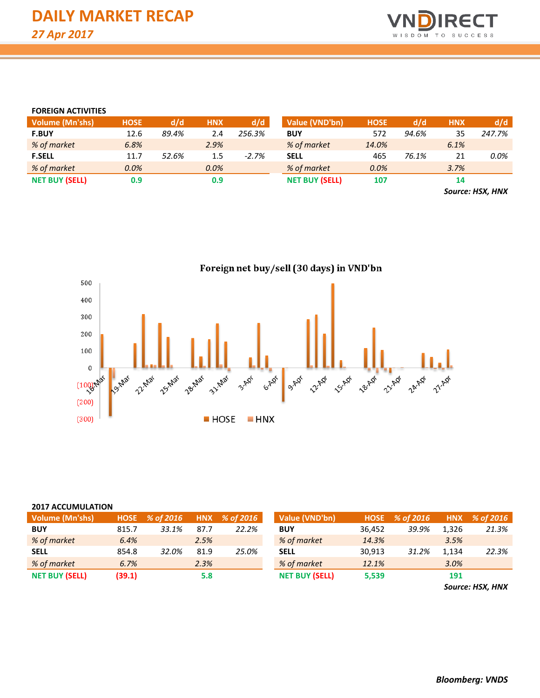

#### **FOREIGN ACTIVITIES**

| <b>Volume (Mn'shs)</b> | <b>HOSE</b> | d/d   | <b>HNX</b> | d/d     | Value (VND'bn)        | <b>HOSE</b> | d/d   | <b>HNX</b>    | d/d    |
|------------------------|-------------|-------|------------|---------|-----------------------|-------------|-------|---------------|--------|
| <b>F.BUY</b>           | 12.6        | 89.4% | 2.4        | 256.3%  | <b>BUY</b>            | 572         | 94.6% | 35            | 247.7% |
| % of market            | 6.8%        |       | 2.9%       |         | % of market           | 14.0%       |       | 6.1%          |        |
| <b>F.SELL</b>          | 11.7        | 52.6% | 1.5        | $-2.7%$ | <b>SELL</b>           | 465         | 76.1% | 21            | 0.0%   |
| % of market            | 0.0%        |       | 0.0%       |         | % of market           | 0.0%        |       | 3.7%          |        |
| <b>NET BUY (SELL)</b>  | 0.9         |       | 0.9        |         | <b>NET BUY (SELL)</b> | 107         |       | 14            |        |
|                        |             |       |            |         |                       |             |       | $\rightarrow$ | .      |

*Source: HSX, HNX*



#### **2017 ACCUMULATION**

| Volume (Mn'shs)       |        | HOSE % of 2016 |      | HNX % of 2016 | Value (VND'bn)        | <b>HOSE</b> | % of 2016 |       | HNX % of 2016 |
|-----------------------|--------|----------------|------|---------------|-----------------------|-------------|-----------|-------|---------------|
| <b>BUY</b>            | 815.7  | 33.1%          | 87.7 | 22.2%         | <b>BUY</b>            | 36.452      | 39.9%     | 1.326 | 21.3%         |
| % of market           | 6.4%   |                | 2.5% |               | % of market           | 14.3%       |           | 3.5%  |               |
| <b>SELL</b>           | 854.8  | 32.0%          | 81.9 | 25.0%         | <b>SELL</b>           | 30.913      | 31.2%     | 1.134 | 22.3%         |
| % of market           | 6.7%   |                | 2.3% |               | % of market           | 12.1%       |           | 3.0%  |               |
| <b>NET BUY (SELL)</b> | (39.1) |                | 5.8  |               | <b>NET BUY (SELL)</b> | 5,539       |           | 191   |               |

*Source: HSX, HNX*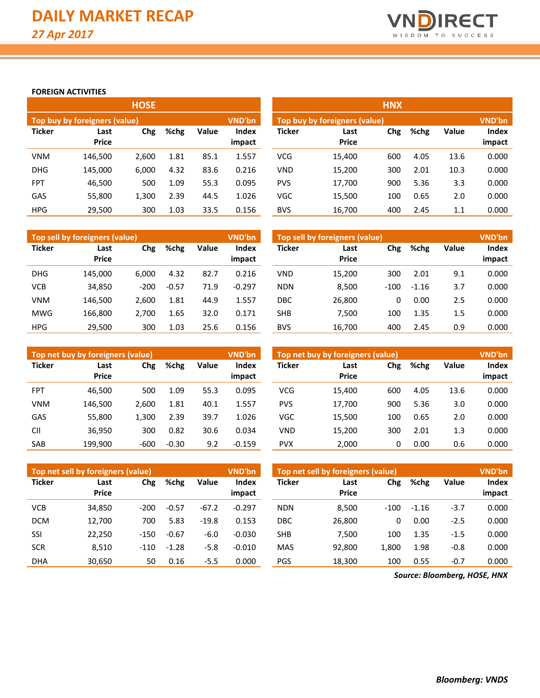

## **FOREIGN ACTIVITIES**

|               |                               | <b>HOSE</b> |      |       |                        | <b>HNX</b>                    |                      |     |      |              |                        |  |  |
|---------------|-------------------------------|-------------|------|-------|------------------------|-------------------------------|----------------------|-----|------|--------------|------------------------|--|--|
|               | Top buy by foreigners (value) |             |      |       | <b>VND'bn</b>          | Top buy by foreigners (value) |                      |     |      |              |                        |  |  |
| <b>Ticker</b> | Last<br><b>Price</b>          | Chg         | %chg | Value | <b>Index</b><br>impact | <b>Ticker</b>                 | Last<br><b>Price</b> | Chg | %chg | <b>Value</b> | <b>Index</b><br>impact |  |  |
| <b>VNM</b>    | 146.500                       | 2,600       | 1.81 | 85.1  | 1.557                  | <b>VCG</b>                    | 15,400               | 600 | 4.05 | 13.6         | 0.000                  |  |  |
| <b>DHG</b>    | 145.000                       | 6,000       | 4.32 | 83.6  | 0.216                  | <b>VND</b>                    | 15,200               | 300 | 2.01 | 10.3         | 0.000                  |  |  |
| <b>FPT</b>    | 46,500                        | 500         | 1.09 | 55.3  | 0.095                  | <b>PVS</b>                    | 17,700               | 900 | 5.36 | 3.3          | 0.000                  |  |  |
| GAS           | 55,800                        | 1,300       | 2.39 | 44.5  | 1.026                  | <b>VGC</b>                    | 15,500               | 100 | 0.65 | 2.0          | 0.000                  |  |  |
| <b>HPG</b>    | 29,500                        | 300         | 1.03 | 33.5  | 0.156                  | <b>BVS</b>                    | 16,700               | 400 | 2.45 | 1.1          | 0.000                  |  |  |

|               | Top sell by foreigners (value) |        |         |       | <b>VND'bn</b>   | Top sell by foreigners (value) |                      |        |         |              |                 |  |
|---------------|--------------------------------|--------|---------|-------|-----------------|--------------------------------|----------------------|--------|---------|--------------|-----------------|--|
| <b>Ticker</b> | Last<br><b>Price</b>           | Chg    | %chg    | Value | Index<br>impact | <b>Ticker</b>                  | Last<br><b>Price</b> | Chg    | %chg    | <b>Value</b> | Index<br>impact |  |
| <b>DHG</b>    | 145.000                        | 6.000  | 4.32    | 82.7  | 0.216           | <b>VND</b>                     | 15,200               | 300    | 2.01    | 9.1          | 0.000           |  |
| <b>VCB</b>    | 34,850                         | $-200$ | $-0.57$ | 71.9  | $-0.297$        | <b>NDN</b>                     | 8,500                | $-100$ | $-1.16$ | 3.7          | 0.000           |  |
| <b>VNM</b>    | 146.500                        | 2.600  | 1.81    | 44.9  | 1.557           | DBC                            | 26,800               | 0      | 0.00    | 2.5          | 0.000           |  |
| <b>MWG</b>    | 166.800                        | 2,700  | 1.65    | 32.0  | 0.171           | <b>SHB</b>                     | 7.500                | 100    | 1.35    | 1.5          | 0.000           |  |
| <b>HPG</b>    | 29.500                         | 300    | 1.03    | 25.6  | 0.156           | <b>BVS</b>                     | 16.700               | 400    | 2.45    | 0.9          | 0.000           |  |

|               | Top net buy by foreigners (value) |        |         |       | <b>VND'bn</b>   | Top net buy by foreigners (value) |                      |     |      |              |                 |
|---------------|-----------------------------------|--------|---------|-------|-----------------|-----------------------------------|----------------------|-----|------|--------------|-----------------|
| <b>Ticker</b> | Last<br><b>Price</b>              | Chg    | %chg    | Value | Index<br>impact | <b>Ticker</b>                     | Last<br><b>Price</b> | Chg | %chg | <b>Value</b> | Index<br>impact |
| <b>FPT</b>    | 46.500                            | 500    | 1.09    | 55.3  | 0.095           | <b>VCG</b>                        | 15.400               | 600 | 4.05 | 13.6         | 0.000           |
| <b>VNM</b>    | 146,500                           | 2.600  | 1.81    | 40.1  | 1.557           | <b>PVS</b>                        | 17,700               | 900 | 5.36 | 3.0          | 0.000           |
| GAS           | 55,800                            | 1,300  | 2.39    | 39.7  | 1.026           | VGC                               | 15,500               | 100 | 0.65 | 2.0          | 0.000           |
| <b>CII</b>    | 36.950                            | 300    | 0.82    | 30.6  | 0.034           | <b>VND</b>                        | 15.200               | 300 | 2.01 | 1.3          | 0.000           |
| SAB           | 199.900                           | $-600$ | $-0.30$ | 9.2   | $-0.159$        | <b>PVX</b>                        | 2,000                | 0   | 0.00 | 0.6          | 0.000           |

|               | Top net sell by foreigners (value) |        |         |         | <b>VND'bn</b> | Top net sell by foreigners (value) | <b>VND'bn</b>        |        |         |              |        |
|---------------|------------------------------------|--------|---------|---------|---------------|------------------------------------|----------------------|--------|---------|--------------|--------|
| <b>Ticker</b> | Last<br><b>Price</b>               | Chg    | %chg    | Value   | Index         | <b>Ticker</b>                      | Last<br><b>Price</b> | Chg    | %chg    | <b>Value</b> | Index  |
|               |                                    |        |         |         | impact        |                                    |                      |        |         |              | impact |
| <b>VCB</b>    | 34,850                             | $-200$ | $-0.57$ | $-67.2$ | $-0.297$      | <b>NDN</b>                         | 8,500                | $-100$ | $-1.16$ | $-3.7$       | 0.000  |
| <b>DCM</b>    | 12,700                             | 700    | 5.83    | $-19.8$ | 0.153         | DBC                                | 26,800               | 0      | 0.00    | $-2.5$       | 0.000  |
| SSI           | 22.250                             | $-150$ | $-0.67$ | $-6.0$  | $-0.030$      | <b>SHB</b>                         | 7.500                | 100    | 1.35    | $-1.5$       | 0.000  |
| <b>SCR</b>    | 8,510                              | -110   | $-1.28$ | $-5.8$  | $-0.010$      | <b>MAS</b>                         | 92.800               | 1,800  | 1.98    | $-0.8$       | 0.000  |
| <b>DHA</b>    | 30,650                             | 50     | 0.16    | $-5.5$  | 0.000         | <b>PGS</b>                         | 18,300               | 100    | 0.55    | $-0.7$       | 0.000  |

*Source: Bloomberg, HOSE, HNX*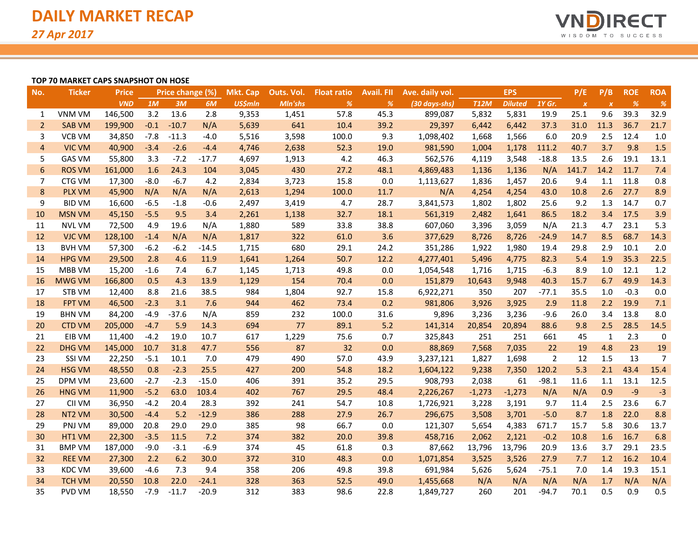

#### **TOP 70 MARKET CAPS SNAPSHOT ON HOSE**

| No.             | <b>Ticker</b> | <b>Price</b> |        | Price change (%) |         | <b>Mkt. Cap</b> | Outs. Vol. | <b>Float ratio</b> | <b>Avail. FII</b> | Ave. daily vol. |             | <b>EPS</b>     |         | P/E              | P/B              | <b>ROE</b> | <b>ROA</b>    |
|-----------------|---------------|--------------|--------|------------------|---------|-----------------|------------|--------------------|-------------------|-----------------|-------------|----------------|---------|------------------|------------------|------------|---------------|
|                 |               | <b>VND</b>   | 1M     | 3M               | 6M      | <b>US\$mln</b>  | Mln'shs    | $\%$               | %                 | (30 days-shs)   | <b>T12M</b> | <b>Diluted</b> | 1Y Gr.  | $\boldsymbol{x}$ | $\boldsymbol{x}$ | %          | $\frac{9}{6}$ |
| 1               | VNM VM        | 146,500      | 3.2    | 13.6             | 2.8     | 9,353           | 1,451      | 57.8               | 45.3              | 899,087         | 5,832       | 5,831          | 19.9    | 25.1             | 9.6              | 39.3       | 32.9          |
| $\overline{2}$  | <b>SAB VM</b> | 199,900      | $-0.1$ | $-10.7$          | N/A     | 5,639           | 641        | 10.4               | 39.2              | 29,397          | 6,442       | 6,442          | 37.3    | 31.0             | 11.3             | 36.7       | 21.7          |
| 3               | <b>VCB VM</b> | 34,850       | $-7.8$ | $-11.3$          | $-4.0$  | 5,516           | 3,598      | 100.0              | 9.3               | 1,098,402       | 1,668       | 1,566          | 6.0     | 20.9             | 2.5              | 12.4       | 1.0           |
| $\overline{4}$  | <b>VIC VM</b> | 40,900       | $-3.4$ | $-2.6$           | $-4.4$  | 4,746           | 2,638      | 52.3               | 19.0              | 981,590         | 1,004       | 1,178          | 111.2   | 40.7             | 3.7              | 9.8        | 1.5           |
| 5               | <b>GAS VM</b> | 55,800       | 3.3    | $-7.2$           | $-17.7$ | 4,697           | 1,913      | 4.2                | 46.3              | 562,576         | 4,119       | 3,548          | $-18.8$ | 13.5             | 2.6              | 19.1       | 13.1          |
| $6\phantom{1}6$ | <b>ROS VM</b> | 161,000      | 1.6    | 24.3             | 104     | 3,045           | 430        | 27.2               | 48.1              | 4,869,483       | 1,136       | 1,136          | N/A     | 141.7            | 14.2             | 11.7       | 7.4           |
| 7               | CTG VM        | 17,300       | $-8.0$ | $-6.7$           | 4.2     | 2,834           | 3,723      | 15.8               | 0.0               | 1,113,627       | 1,836       | 1,457          | 20.6    | 9.4              | 1.1              | 11.8       | 0.8           |
| 8               | <b>PLX VM</b> | 45,900       | N/A    | N/A              | N/A     | 2,613           | 1,294      | 100.0              | 11.7              | N/A             | 4,254       | 4,254          | 43.0    | 10.8             | 2.6              | 27.7       | 8.9           |
| 9               | <b>BID VM</b> | 16,600       | $-6.5$ | $-1.8$           | $-0.6$  | 2,497           | 3,419      | 4.7                | 28.7              | 3,841,573       | 1,802       | 1,802          | 25.6    | 9.2              | 1.3              | 14.7       | 0.7           |
| 10              | <b>MSN VM</b> | 45,150       | $-5.5$ | 9.5              | 3.4     | 2,261           | 1,138      | 32.7               | 18.1              | 561,319         | 2,482       | 1,641          | 86.5    | 18.2             | 3.4              | 17.5       | 3.9           |
| 11              | <b>NVL VM</b> | 72,500       | 4.9    | 19.6             | N/A     | 1,880           | 589        | 33.8               | 38.8              | 607,060         | 3,396       | 3,059          | N/A     | 21.3             | 4.7              | 23.1       | 5.3           |
| 12              | <b>VJC VM</b> | 128,100      | $-1.4$ | N/A              | N/A     | 1,817           | 322        | 61.0               | 3.6               | 377,629         | 8,726       | 8,726          | $-24.9$ | 14.7             | 8.5              | 68.7       | 14.3          |
| 13              | <b>BVH VM</b> | 57,300       | $-6.2$ | $-6.2$           | $-14.5$ | 1,715           | 680        | 29.1               | 24.2              | 351,286         | 1,922       | 1,980          | 19.4    | 29.8             | 2.9              | 10.1       | 2.0           |
| 14              | <b>HPG VM</b> | 29,500       | 2.8    | 4.6              | 11.9    | 1,641           | 1,264      | 50.7               | 12.2              | 4,277,401       | 5,496       | 4,775          | 82.3    | 5.4              | 1.9              | 35.3       | 22.5          |
| 15              | MBB VM        | 15,200       | $-1.6$ | 7.4              | 6.7     | 1,145           | 1,713      | 49.8               | 0.0               | 1,054,548       | 1,716       | 1,715          | $-6.3$  | 8.9              | 1.0              | 12.1       | 1.2           |
| 16              | <b>MWG VM</b> | 166,800      | 0.5    | 4.3              | 13.9    | 1,129           | 154        | 70.4               | 0.0               | 151,879         | 10,643      | 9,948          | 40.3    | 15.7             | 6.7              | 49.9       | 14.3          |
| 17              | STB VM        | 12,400       | 8.8    | 21.6             | 38.5    | 984             | 1,804      | 92.7               | 15.8              | 6,922,271       | 350         | 207            | $-77.1$ | 35.5             | 1.0              | $-0.3$     | 0.0           |
| 18              | <b>FPT VM</b> | 46,500       | $-2.3$ | 3.1              | 7.6     | 944             | 462        | 73.4               | 0.2               | 981,806         | 3,926       | 3,925          | 2.9     | 11.8             | 2.2              | 19.9       | 7.1           |
| 19              | <b>BHN VM</b> | 84,200       | $-4.9$ | $-37.6$          | N/A     | 859             | 232        | 100.0              | 31.6              | 9,896           | 3,236       | 3,236          | $-9.6$  | 26.0             | 3.4              | 13.8       | 8.0           |
| 20              | <b>CTD VM</b> | 205,000      | $-4.7$ | 5.9              | 14.3    | 694             | 77         | 89.1               | 5.2               | 141,314         | 20,854      | 20,894         | 88.6    | 9.8              | 2.5              | 28.5       | 14.5          |
| 21              | EIB VM        | 11,400       | $-4.2$ | 19.0             | 10.7    | 617             | 1,229      | 75.6               | 0.7               | 325,843         | 251         | 251            | 661     | 45               | $\mathbf{1}$     | 2.3        | $\pmb{0}$     |
| 22              | <b>DHG VM</b> | 145,000      | 10.7   | 31.8             | 47.7    | 556             | 87         | 32                 | 0.0               | 88,869          | 7,568       | 7,035          | 22      | 19               | 4.8              | 23         | 19            |
| 23              | SSI VM        | 22,250       | $-5.1$ | 10.1             | 7.0     | 479             | 490        | 57.0               | 43.9              | 3,237,121       | 1,827       | 1,698          | 2       | 12               | 1.5              | 13         | 7             |
| 24              | <b>HSG VM</b> | 48,550       | 0.8    | $-2.3$           | 25.5    | 427             | 200        | 54.8               | 18.2              | 1,604,122       | 9,238       | 7,350          | 120.2   | 5.3              | 2.1              | 43.4       | 15.4          |
| 25              | DPM VM        | 23,600       | $-2.7$ | $-2.3$           | $-15.0$ | 406             | 391        | 35.2               | 29.5              | 908,793         | 2,038       | 61             | $-98.1$ | 11.6             | 1.1              | 13.1       | 12.5          |
| 26              | <b>HNG VM</b> | 11,900       | $-5.2$ | 63.0             | 103.4   | 402             | 767        | 29.5               | 48.4              | 2,226,267       | $-1,273$    | $-1,273$       | N/A     | N/A              | 0.9              | $-9$       | $-3$          |
| 27              | CII VM        | 36,950       | $-4.2$ | 20.4             | 28.3    | 392             | 241        | 54.7               | 10.8              | 1,726,921       | 3,228       | 3,191          | 9.7     | 11.4             | 2.5              | 23.6       | 6.7           |
| 28              | NT2 VM        | 30,500       | $-4.4$ | 5.2              | $-12.9$ | 386             | 288        | 27.9               | 26.7              | 296,675         | 3,508       | 3,701          | $-5.0$  | 8.7              | 1.8              | 22.0       | 8.8           |
| 29              | PNJ VM        | 89,000       | 20.8   | 29.0             | 29.0    | 385             | 98         | 66.7               | 0.0               | 121,307         | 5,654       | 4,383          | 671.7   | 15.7             | 5.8              | 30.6       | 13.7          |
| 30              | HT1 VM        | 22,300       | $-3.5$ | 11.5             | 7.2     | 374             | 382        | 20.0               | 39.8              | 458,716         | 2,062       | 2,121          | $-0.2$  | 10.8             | 1.6              | 16.7       | 6.8           |
| 31              | <b>BMP VM</b> | 187,000      | $-9.0$ | $-3.1$           | $-6.9$  | 374             | 45         | 61.8               | 0.3               | 87,662          | 13,796      | 13,796         | 20.9    | 13.6             | 3.7              | 29.1       | 23.5          |
| 32              | <b>REE VM</b> | 27,300       | 2.2    | 6.2              | 30.0    | 372             | 310        | 48.3               | 0.0               | 1,071,854       | 3,525       | 3,526          | 27.9    | 7.7              | 1.2              | 16.2       | 10.4          |
| 33              | <b>KDC VM</b> | 39,600       | $-4.6$ | 7.3              | 9.4     | 358             | 206        | 49.8               | 39.8              | 691,984         | 5,626       | 5,624          | $-75.1$ | 7.0              | 1.4              | 19.3       | 15.1          |
| 34              | <b>TCH VM</b> | 20,550       | 10.8   | 22.0             | $-24.1$ | 328             | 363        | 52.5               | 49.0              | 1,455,668       | N/A         | N/A            | N/A     | N/A              | 1.7              | N/A        | N/A           |
| 35              | <b>PVD VM</b> | 18,550       | $-7.9$ | $-11.7$          | $-20.9$ | 312             | 383        | 98.6               | 22.8              | 1,849,727       | 260         | 201            | $-94.7$ | 70.1             | 0.5              | 0.9        | 0.5           |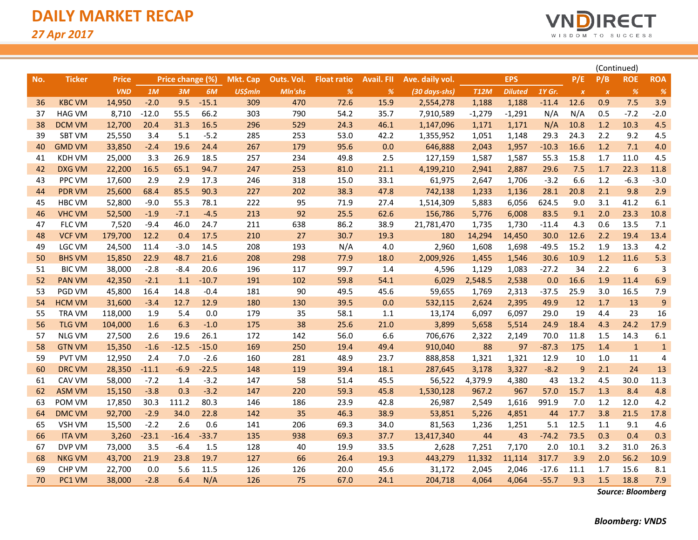

|     |               |              |         |                  |         |                 |            |                    |                   |                 |             |                | (Continued) |                  |              |              |                         |
|-----|---------------|--------------|---------|------------------|---------|-----------------|------------|--------------------|-------------------|-----------------|-------------|----------------|-------------|------------------|--------------|--------------|-------------------------|
| No. | <b>Ticker</b> | <b>Price</b> |         | Price change (%) |         | <b>Mkt. Cap</b> | Outs. Vol. | <b>Float ratio</b> | <b>Avail. FII</b> | Ave. daily vol. |             | <b>EPS</b>     |             | P/E              | P/B          | <b>ROE</b>   | <b>ROA</b>              |
|     |               | <b>VND</b>   | 1M      | 3M               | 6M      | <b>US\$mln</b>  | Mln'shs    | $\%$               | $\%$              | (30 days-shs)   | <b>T12M</b> | <b>Diluted</b> | 1Y Gr.      | $\boldsymbol{x}$ | $\pmb{\chi}$ | %            | %                       |
| 36  | <b>KBC VM</b> | 14,950       | $-2.0$  | 9.5              | $-15.1$ | 309             | 470        | 72.6               | 15.9              | 2,554,278       | 1,188       | 1,188          | $-11.4$     | 12.6             | 0.9          | 7.5          | 3.9                     |
| 37  | <b>HAG VM</b> | 8,710        | $-12.0$ | 55.5             | 66.2    | 303             | 790        | 54.2               | 35.7              | 7,910,589       | $-1,279$    | $-1,291$       | N/A         | N/A              | 0.5          | $-7.2$       | $-2.0$                  |
| 38  | <b>DCM VM</b> | 12,700       | 20.4    | 31.3             | 16.5    | 296             | 529        | 24.3               | 46.1              | 1,147,096       | 1,171       | 1,171          | N/A         | 10.8             | 1.2          | 10.3         | 4.5                     |
| 39  | <b>SBT VM</b> | 25,550       | 3.4     | 5.1              | $-5.2$  | 285             | 253        | 53.0               | 42.2              | 1,355,952       | 1,051       | 1,148          | 29.3        | 24.3             | 2.2          | 9.2          | 4.5                     |
| 40  | <b>GMD VM</b> | 33,850       | $-2.4$  | 19.6             | 24.4    | 267             | 179        | 95.6               | 0.0               | 646,888         | 2,043       | 1,957          | $-10.3$     | 16.6             | 1.2          | 7.1          | 4.0                     |
| 41  | <b>KDH VM</b> | 25,000       | 3.3     | 26.9             | 18.5    | 257             | 234        | 49.8               | 2.5               | 127,159         | 1,587       | 1,587          | 55.3        | 15.8             | 1.7          | 11.0         | 4.5                     |
| 42  | <b>DXG VM</b> | 22,200       | 16.5    | 65.1             | 94.7    | 247             | 253        | 81.0               | 21.1              | 4,199,210       | 2,941       | 2,887          | 29.6        | 7.5              | 1.7          | 22.3         | 11.8                    |
| 43  | <b>PPC VM</b> | 17,600       | 2.9     | 2.9              | 17.3    | 246             | 318        | 15.0               | 33.1              | 61,975          | 2,647       | 1,706          | $-3.2$      | 6.6              | 1.2          | $-6.3$       | $-3.0$                  |
| 44  | <b>PDR VM</b> | 25,600       | 68.4    | 85.5             | 90.3    | 227             | 202        | 38.3               | 47.8              | 742,138         | 1,233       | 1,136          | 28.1        | 20.8             | 2.1          | 9.8          | 2.9                     |
| 45  | <b>HBC VM</b> | 52,800       | $-9.0$  | 55.3             | 78.1    | 222             | 95         | 71.9               | 27.4              | 1,514,309       | 5,883       | 6,056          | 624.5       | 9.0              | 3.1          | 41.2         | 6.1                     |
| 46  | <b>VHC VM</b> | 52,500       | $-1.9$  | $-7.1$           | $-4.5$  | 213             | 92         | 25.5               | 62.6              | 156,786         | 5,776       | 6,008          | 83.5        | 9.1              | 2.0          | 23.3         | 10.8                    |
| 47  | FLC VM        | 7,520        | $-9.4$  | 46.0             | 24.7    | 211             | 638        | 86.2               | 38.9              | 21,781,470      | 1,735       | 1,730          | $-11.4$     | 4.3              | 0.6          | 13.5         | 7.1                     |
| 48  | <b>VCF VM</b> | 179,700      | 12.2    | 0.4              | 17.5    | 210             | 27         | 30.7               | 19.3              | 180             | 14,294      | 14,450         | 30.0        | 12.6             | 2.2          | 19.4         | 13.4                    |
| 49  | <b>LGC VM</b> | 24,500       | 11.4    | $-3.0$           | 14.5    | 208             | 193        | N/A                | 4.0               | 2,960           | 1,608       | 1,698          | $-49.5$     | 15.2             | 1.9          | 13.3         | 4.2                     |
| 50  | <b>BHS VM</b> | 15,850       | 22.9    | 48.7             | 21.6    | 208             | 298        | 77.9               | 18.0              | 2,009,926       | 1,455       | 1,546          | 30.6        | 10.9             | 1.2          | 11.6         | 5.3                     |
| 51  | <b>BIC VM</b> | 38,000       | $-2.8$  | $-8.4$           | 20.6    | 196             | 117        | 99.7               | 1.4               | 4,596           | 1,129       | 1,083          | $-27.2$     | 34               | 2.2          | 6            | 3                       |
| 52  | <b>PAN VM</b> | 42,350       | $-2.1$  | 1.1              | $-10.7$ | 191             | 102        | 59.8               | 54.1              | 6,029           | 2,548.5     | 2,538          | 0.0         | 16.6             | 1.9          | 11.4         | 6.9                     |
| 53  | PGD VM        | 45,800       | 16.4    | 14.8             | $-0.4$  | 181             | 90         | 49.5               | 45.6              | 59,655          | 1,769       | 2,313          | $-37.5$     | 25.9             | 3.0          | 16.5         | 7.9                     |
| 54  | <b>HCM VM</b> | 31,600       | $-3.4$  | 12.7             | 12.9    | 180             | 130        | 39.5               | 0.0               | 532,115         | 2,624       | 2,395          | 49.9        | 12               | 1.7          | 13           | 9                       |
| 55  | <b>TRA VM</b> | 118,000      | 1.9     | 5.4              | 0.0     | 179             | 35         | 58.1               | 1.1               | 13,174          | 6,097       | 6,097          | 29.0        | 19               | 4.4          | 23           | 16                      |
| 56  | <b>TLG VM</b> | 104,000      | 1.6     | 6.3              | $-1.0$  | 175             | 38         | 25.6               | 21.0              | 3,899           | 5,658       | 5,514          | 24.9        | 18.4             | 4.3          | 24.2         | 17.9                    |
| 57  | <b>NLG VM</b> | 27,500       | 2.6     | 19.6             | 26.1    | 172             | 142        | 56.0               | 6.6               | 706,676         | 2,322       | 2,149          | 70.0        | 11.8             | 1.5          | 14.3         | 6.1                     |
| 58  | <b>GTN VM</b> | 15,350       | $-1.6$  | $-12.5$          | $-15.0$ | 169             | 250        | 19.4               | 49.4              | 910,040         | 88          | 97             | $-87.3$     | 175              | 1.4          | $\mathbf{1}$ | $\mathbf{1}$            |
| 59  | <b>PVT VM</b> | 12,950       | 2.4     | 7.0              | $-2.6$  | 160             | 281        | 48.9               | 23.7              | 888,858         | 1,321       | 1,321          | 12.9        | 10               | 1.0          | 11           | $\overline{\mathbf{4}}$ |
| 60  | <b>DRC VM</b> | 28,350       | $-11.1$ | $-6.9$           | $-22.5$ | 148             | 119        | 39.4               | 18.1              | 287,645         | 3,178       | 3,327          | $-8.2$      | 9                | 2.1          | 24           | 13                      |
| 61  | CAV VM        | 58,000       | $-7.2$  | 1.4              | $-3.2$  | 147             | 58         | 51.4               | 45.5              | 56,522          | 4,379.9     | 4,380          | 43          | 13.2             | 4.5          | 30.0         | 11.3                    |
| 62  | <b>ASM VM</b> | 15,150       | $-3.8$  | 0.3              | $-3.2$  | 147             | 220        | 59.3               | 45.8              | 1,530,128       | 967.2       | 967            | 57.0        | 15.7             | 1.3          | 8.4          | 4.8                     |
| 63  | POM VM        | 17,850       | 30.3    | 111.2            | 80.3    | 146             | 186        | 23.9               | 42.8              | 26,987          | 2,549       | 1,616          | 991.9       | 7.0              | 1.2          | 12.0         | 4.2                     |
| 64  | <b>DMC VM</b> | 92,700       | $-2.9$  | 34.0             | 22.8    | 142             | 35         | 46.3               | 38.9              | 53,851          | 5,226       | 4,851          | 44          | 17.7             | 3.8          | 21.5         | 17.8                    |
| 65  | VSH VM        | 15,500       | $-2.2$  | 2.6              | 0.6     | 141             | 206        | 69.3               | 34.0              | 81,563          | 1,236       | 1,251          | 5.1         | 12.5             | 1.1          | 9.1          | 4.6                     |
| 66  | <b>ITA VM</b> | 3,260        | $-23.1$ | $-16.4$          | $-33.7$ | 135             | 938        | 69.3               | 37.7              | 13,417,340      | 44          | 43             | $-74.2$     | 73.5             | 0.3          | 0.4          | 0.3                     |
| 67  | DVP VM        | 73,000       | 3.5     | $-6.4$           | 1.5     | 128             | 40         | 19.9               | 33.5              | 2,628           | 7,251       | 7,170          | 2.0         | 10.1             | 3.2          | 31.0         | 26.3                    |
| 68  | <b>NKG VM</b> | 43,700       | 21.9    | 23.8             | 19.7    | 127             | 66         | 26.4               | 19.3              | 443,279         | 11,332      | 11,114         | 317.7       | 3.9              | 2.0          | 56.2         | 10.9                    |
| 69  | CHP VM        | 22,700       | 0.0     | 5.6              | 11.5    | 126             | 126        | 20.0               | 45.6              | 31,172          | 2,045       | 2,046          | $-17.6$     | 11.1             | 1.7          | 15.6         | 8.1                     |
| 70  | PC1 VM        | 38,000       | $-2.8$  | 6.4              | N/A     | 126             | 75         | 67.0               | 24.1              | 204,718         | 4,064       | 4,064          | $-55.7$     | 9.3              | 1.5          | 18.8         | 7.9                     |

*Source: Bloomberg*